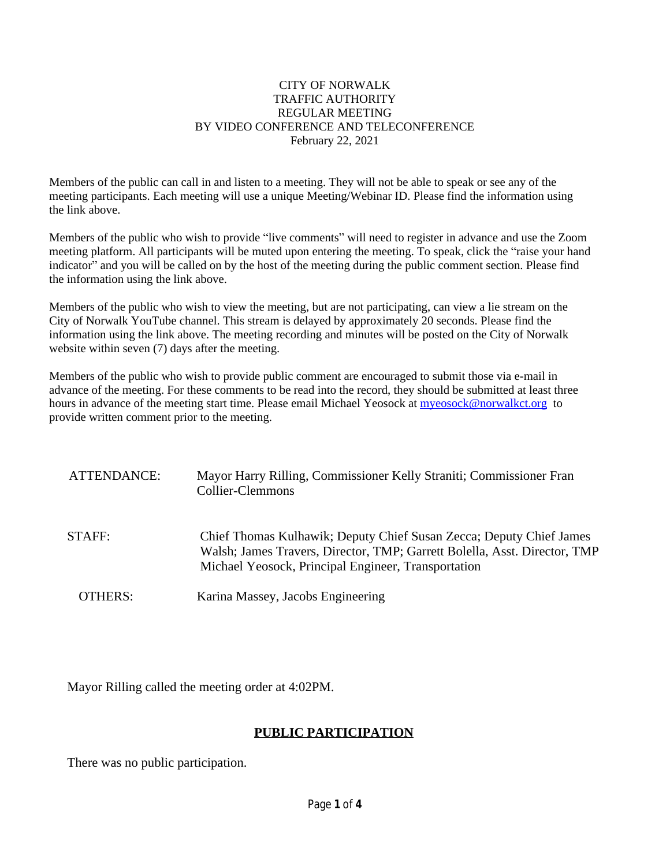### CITY OF NORWALK TRAFFIC AUTHORITY REGULAR MEETING BY VIDEO CONFERENCE AND TELECONFERENCE February 22, 2021

Members of the public can call in and listen to a meeting. They will not be able to speak or see any of the meeting participants. Each meeting will use a unique Meeting/Webinar ID. Please find the information using the link above.

Members of the public who wish to provide "live comments" will need to register in advance and use the Zoom meeting platform. All participants will be muted upon entering the meeting. To speak, click the "raise your hand indicator" and you will be called on by the host of the meeting during the public comment section. Please find the information using the link above.

Members of the public who wish to view the meeting, but are not participating, can view a lie stream on the City of Norwalk YouTube channel. This stream is delayed by approximately 20 seconds. Please find the information using the link above. The meeting recording and minutes will be posted on the City of Norwalk website within seven (7) days after the meeting.

Members of the public who wish to provide public comment are encouraged to submit those via e-mail in advance of the meeting. For these comments to be read into the record, they should be submitted at least three hours in advance of the meeting start time. Please email Michael Yeosock at [myeosock@norwalkct.org](mailto:myeosock@norwalkct.org) to provide written comment prior to the meeting.

| ATTENDANCE: | Mayor Harry Rilling, Commissioner Kelly Straniti; Commissioner Fran<br>Collier-Clemmons                                                                                                                 |
|-------------|---------------------------------------------------------------------------------------------------------------------------------------------------------------------------------------------------------|
| STAFF:      | Chief Thomas Kulhawik; Deputy Chief Susan Zecca; Deputy Chief James<br>Walsh; James Travers, Director, TMP; Garrett Bolella, Asst. Director, TMP<br>Michael Yeosock, Principal Engineer, Transportation |
| OTHERS:     | Karina Massey, Jacobs Engineering                                                                                                                                                                       |

Mayor Rilling called the meeting order at 4:02PM.

# **PUBLIC PARTICIPATION**

There was no public participation.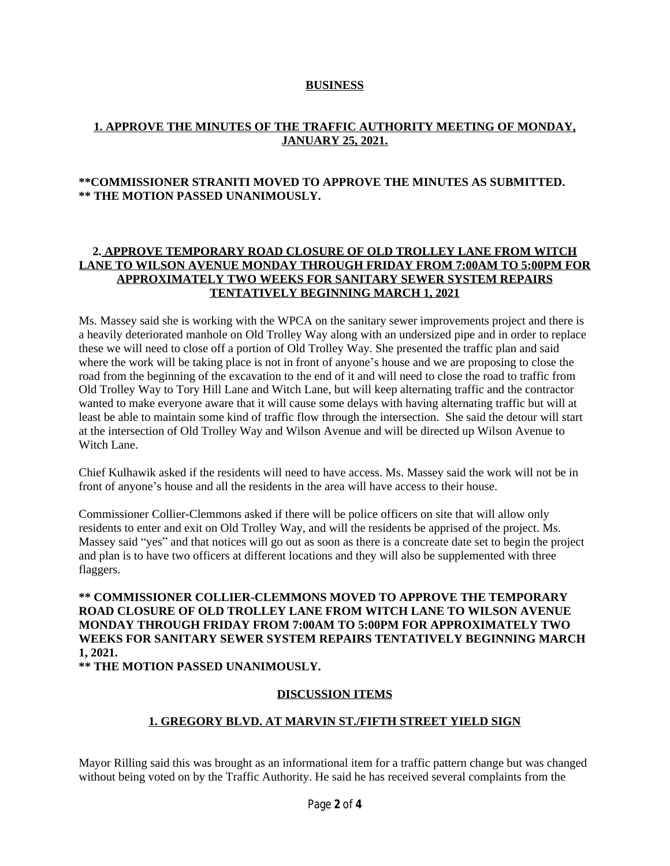### **BUSINESS**

## **1. APPROVE THE MINUTES OF THE TRAFFIC AUTHORITY MEETING OF MONDAY, JANUARY 25, 2021.**

### **\*\*COMMISSIONER STRANITI MOVED TO APPROVE THE MINUTES AS SUBMITTED. \*\* THE MOTION PASSED UNANIMOUSLY.**

## **2. APPROVE TEMPORARY ROAD CLOSURE OF OLD TROLLEY LANE FROM WITCH LANE TO WILSON AVENUE MONDAY THROUGH FRIDAY FROM 7:00AM TO 5:00PM FOR APPROXIMATELY TWO WEEKS FOR SANITARY SEWER SYSTEM REPAIRS TENTATIVELY BEGINNING MARCH 1, 2021**

Ms. Massey said she is working with the WPCA on the sanitary sewer improvements project and there is a heavily deteriorated manhole on Old Trolley Way along with an undersized pipe and in order to replace these we will need to close off a portion of Old Trolley Way. She presented the traffic plan and said where the work will be taking place is not in front of anyone's house and we are proposing to close the road from the beginning of the excavation to the end of it and will need to close the road to traffic from Old Trolley Way to Tory Hill Lane and Witch Lane, but will keep alternating traffic and the contractor wanted to make everyone aware that it will cause some delays with having alternating traffic but will at least be able to maintain some kind of traffic flow through the intersection. She said the detour will start at the intersection of Old Trolley Way and Wilson Avenue and will be directed up Wilson Avenue to Witch Lane.

Chief Kulhawik asked if the residents will need to have access. Ms. Massey said the work will not be in front of anyone's house and all the residents in the area will have access to their house.

Commissioner Collier-Clemmons asked if there will be police officers on site that will allow only residents to enter and exit on Old Trolley Way, and will the residents be apprised of the project. Ms. Massey said "yes" and that notices will go out as soon as there is a concreate date set to begin the project and plan is to have two officers at different locations and they will also be supplemented with three flaggers.

**\*\* COMMISSIONER COLLIER-CLEMMONS MOVED TO APPROVE THE TEMPORARY ROAD CLOSURE OF OLD TROLLEY LANE FROM WITCH LANE TO WILSON AVENUE MONDAY THROUGH FRIDAY FROM 7:00AM TO 5:00PM FOR APPROXIMATELY TWO WEEKS FOR SANITARY SEWER SYSTEM REPAIRS TENTATIVELY BEGINNING MARCH 1, 2021.**

**\*\* THE MOTION PASSED UNANIMOUSLY.**

#### **DISCUSSION ITEMS**

## **1. GREGORY BLVD. AT MARVIN ST./FIFTH STREET YIELD SIGN**

Mayor Rilling said this was brought as an informational item for a traffic pattern change but was changed without being voted on by the Traffic Authority. He said he has received several complaints from the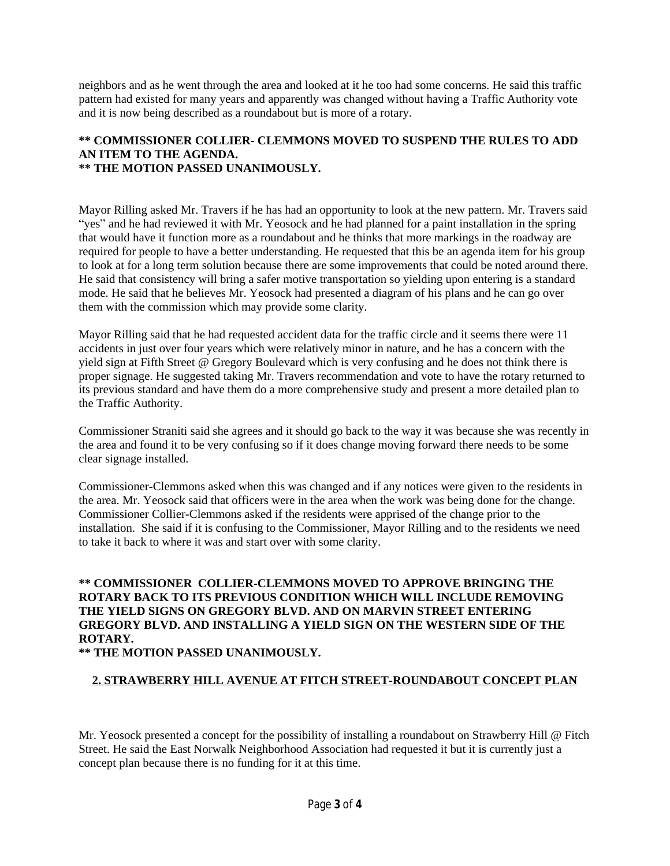neighbors and as he went through the area and looked at it he too had some concerns. He said this traffic pattern had existed for many years and apparently was changed without having a Traffic Authority vote and it is now being described as a roundabout but is more of a rotary.

#### **\*\* COMMISSIONER COLLIER- CLEMMONS MOVED TO SUSPEND THE RULES TO ADD AN ITEM TO THE AGENDA. \*\* THE MOTION PASSED UNANIMOUSLY.**

Mayor Rilling asked Mr. Travers if he has had an opportunity to look at the new pattern. Mr. Travers said "yes" and he had reviewed it with Mr. Yeosock and he had planned for a paint installation in the spring that would have it function more as a roundabout and he thinks that more markings in the roadway are required for people to have a better understanding. He requested that this be an agenda item for his group to look at for a long term solution because there are some improvements that could be noted around there. He said that consistency will bring a safer motive transportation so yielding upon entering is a standard mode. He said that he believes Mr. Yeosock had presented a diagram of his plans and he can go over them with the commission which may provide some clarity.

Mayor Rilling said that he had requested accident data for the traffic circle and it seems there were 11 accidents in just over four years which were relatively minor in nature, and he has a concern with the yield sign at Fifth Street @ Gregory Boulevard which is very confusing and he does not think there is proper signage. He suggested taking Mr. Travers recommendation and vote to have the rotary returned to its previous standard and have them do a more comprehensive study and present a more detailed plan to the Traffic Authority.

Commissioner Straniti said she agrees and it should go back to the way it was because she was recently in the area and found it to be very confusing so if it does change moving forward there needs to be some clear signage installed.

Commissioner-Clemmons asked when this was changed and if any notices were given to the residents in the area. Mr. Yeosock said that officers were in the area when the work was being done for the change. Commissioner Collier-Clemmons asked if the residents were apprised of the change prior to the installation. She said if it is confusing to the Commissioner, Mayor Rilling and to the residents we need to take it back to where it was and start over with some clarity.

# **\*\* COMMISSIONER COLLIER-CLEMMONS MOVED TO APPROVE BRINGING THE ROTARY BACK TO ITS PREVIOUS CONDITION WHICH WILL INCLUDE REMOVING THE YIELD SIGNS ON GREGORY BLVD. AND ON MARVIN STREET ENTERING GREGORY BLVD. AND INSTALLING A YIELD SIGN ON THE WESTERN SIDE OF THE ROTARY.**

**\*\* THE MOTION PASSED UNANIMOUSLY.**

# **2. STRAWBERRY HILL AVENUE AT FITCH STREET-ROUNDABOUT CONCEPT PLAN**

Mr. Yeosock presented a concept for the possibility of installing a roundabout on Strawberry Hill @ Fitch Street. He said the East Norwalk Neighborhood Association had requested it but it is currently just a concept plan because there is no funding for it at this time.